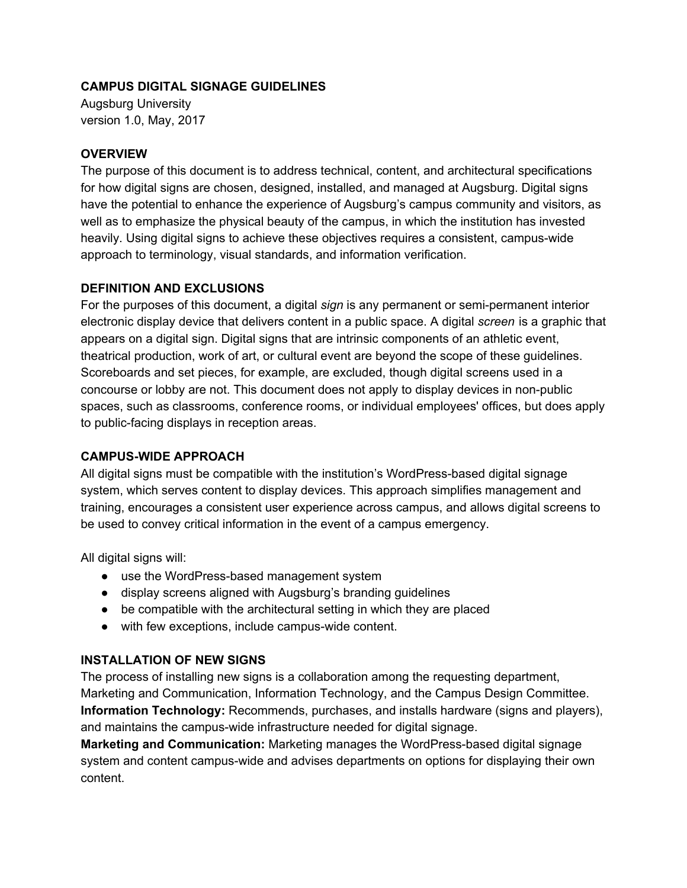## **CAMPUS DIGITAL SIGNAGE GUIDELINES**

Augsburg University version 1.0, May, 2017

### **OVERVIEW**

The purpose of this document is to address technical, content, and architectural specifications for how digital signs are chosen, designed, installed, and managed at Augsburg. Digital signs have the potential to enhance the experience of Augsburg's campus community and visitors, as well as to emphasize the physical beauty of the campus, in which the institution has invested heavily. Using digital signs to achieve these objectives requires a consistent, campus-wide approach to terminology, visual standards, and information verification.

#### **DEFINITION AND EXCLUSIONS**

For the purposes of this document, a digital *sign* is any permanent or semi-permanent interior electronic display device that delivers content in a public space. A digital *screen* is a graphic that appears on a digital sign. Digital signs that are intrinsic components of an athletic event, theatrical production, work of art, or cultural event are beyond the scope of these guidelines. Scoreboards and set pieces, for example, are excluded, though digital screens used in a concourse or lobby are not. This document does not apply to display devices in non-public spaces, such as classrooms, conference rooms, or individual employees' offices, but does apply to public-facing displays in reception areas.

#### **CAMPUS-WIDE APPROACH**

All digital signs must be compatible with the institution's WordPress-based digital signage system, which serves content to display devices. This approach simplifies management and training, encourages a consistent user experience across campus, and allows digital screens to be used to convey critical information in the event of a campus emergency.

All digital signs will:

- use the WordPress-based management system
- display screens aligned with Augsburg's branding guidelines
- be compatible with the architectural setting in which they are placed
- with few exceptions, include campus-wide content.

## **INSTALLATION OF NEW SIGNS**

The process of installing new signs is a collaboration among the requesting department, Marketing and Communication, Information Technology, and the Campus Design Committee. **Information Technology:** Recommends, purchases, and installs hardware (signs and players), and maintains the campus-wide infrastructure needed for digital signage.

**Marketing and Communication:** Marketing manages the WordPress-based digital signage system and content campus-wide and advises departments on options for displaying their own content.